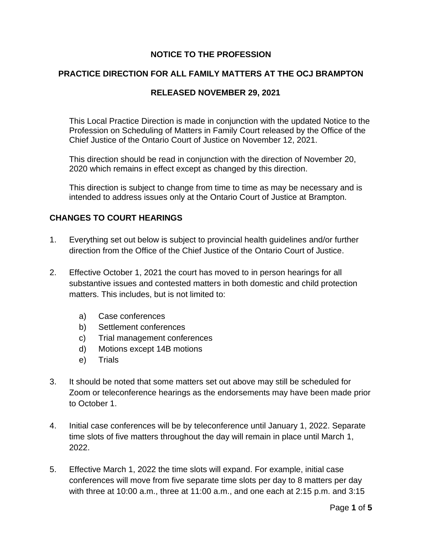## **NOTICE TO THE PROFESSION**

#### **PRACTICE DIRECTION FOR ALL FAMILY MATTERS AT THE OCJ BRAMPTON**

#### **RELEASED NOVEMBER 29, 2021**

This Local Practice Direction is made in conjunction with the updated Notice to the Profession on Scheduling of Matters in Family Court released by the Office of the Chief Justice of the Ontario Court of Justice on November 12, 2021.

This direction should be read in conjunction with the direction of November 20, 2020 which remains in effect except as changed by this direction.

This direction is subject to change from time to time as may be necessary and is intended to address issues only at the Ontario Court of Justice at Brampton.

#### **CHANGES TO COURT HEARINGS**

- 1. Everything set out below is subject to provincial health guidelines and/or further direction from the Office of the Chief Justice of the Ontario Court of Justice.
- 2. Effective October 1, 2021 the court has moved to in person hearings for all substantive issues and contested matters in both domestic and child protection matters. This includes, but is not limited to:
	- a) Case conferences
	- b) Settlement conferences
	- c) Trial management conferences
	- d) Motions except 14B motions
	- e) Trials
- 3. It should be noted that some matters set out above may still be scheduled for Zoom or teleconference hearings as the endorsements may have been made prior to October 1.
- 4. Initial case conferences will be by teleconference until January 1, 2022. Separate time slots of five matters throughout the day will remain in place until March 1, 2022.
- 5. Effective March 1, 2022 the time slots will expand. For example, initial case conferences will move from five separate time slots per day to 8 matters per day with three at 10:00 a.m., three at 11:00 a.m., and one each at 2:15 p.m. and 3:15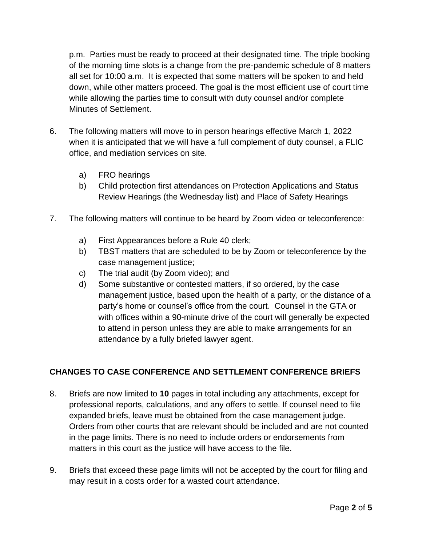p.m. Parties must be ready to proceed at their designated time. The triple booking of the morning time slots is a change from the pre-pandemic schedule of 8 matters all set for 10:00 a.m. It is expected that some matters will be spoken to and held down, while other matters proceed. The goal is the most efficient use of court time while allowing the parties time to consult with duty counsel and/or complete Minutes of Settlement.

- 6. The following matters will move to in person hearings effective March 1, 2022 when it is anticipated that we will have a full complement of duty counsel, a FLIC office, and mediation services on site.
	- a) FRO hearings
	- b) Child protection first attendances on Protection Applications and Status Review Hearings (the Wednesday list) and Place of Safety Hearings
- 7. The following matters will continue to be heard by Zoom video or teleconference:
	- a) First Appearances before a Rule 40 clerk;
	- b) TBST matters that are scheduled to be by Zoom or teleconference by the case management justice;
	- c) The trial audit (by Zoom video); and
	- d) Some substantive or contested matters, if so ordered, by the case management justice, based upon the health of a party, or the distance of a party's home or counsel's office from the court. Counsel in the GTA or with offices within a 90-minute drive of the court will generally be expected to attend in person unless they are able to make arrangements for an attendance by a fully briefed lawyer agent.

## **CHANGES TO CASE CONFERENCE AND SETTLEMENT CONFERENCE BRIEFS**

- 8. Briefs are now limited to **10** pages in total including any attachments, except for professional reports, calculations, and any offers to settle. If counsel need to file expanded briefs, leave must be obtained from the case management judge. Orders from other courts that are relevant should be included and are not counted in the page limits. There is no need to include orders or endorsements from matters in this court as the justice will have access to the file.
- 9. Briefs that exceed these page limits will not be accepted by the court for filing and may result in a costs order for a wasted court attendance.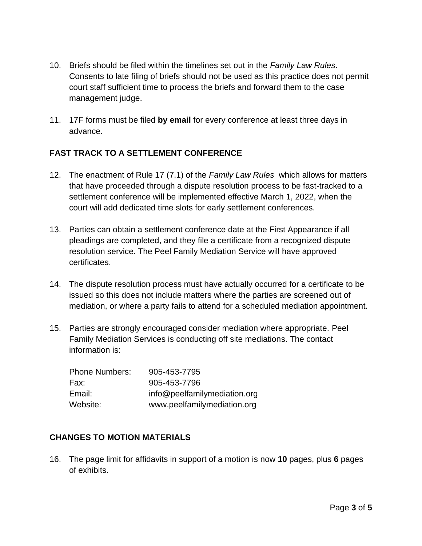- 10. Briefs should be filed within the timelines set out in the *Family Law Rules*. Consents to late filing of briefs should not be used as this practice does not permit court staff sufficient time to process the briefs and forward them to the case management judge.
- 11. 17F forms must be filed **by email** for every conference at least three days in advance.

# **FAST TRACK TO A SETTLEMENT CONFERENCE**

- 12. The enactment of Rule 17 (7.1) of the *Family Law Rules* which allows for matters that have proceeded through a dispute resolution process to be fast-tracked to a settlement conference will be implemented effective March 1, 2022, when the court will add dedicated time slots for early settlement conferences.
- 13. Parties can obtain a settlement conference date at the First Appearance if all pleadings are completed, and they file a certificate from a recognized dispute resolution service. The Peel Family Mediation Service will have approved certificates.
- 14. The dispute resolution process must have actually occurred for a certificate to be issued so this does not include matters where the parties are screened out of mediation, or where a party fails to attend for a scheduled mediation appointment.
- 15. Parties are strongly encouraged consider mediation where appropriate. Peel Family Mediation Services is conducting off site mediations. The contact information is:

| <b>Phone Numbers:</b> | 905-453-7795                 |
|-----------------------|------------------------------|
| Fax:                  | 905-453-7796                 |
| Email:                | info@peelfamilymediation.org |
| Website:              | www.peelfamilymediation.org  |

## **CHANGES TO MOTION MATERIALS**

16. The page limit for affidavits in support of a motion is now **10** pages, plus **6** pages of exhibits.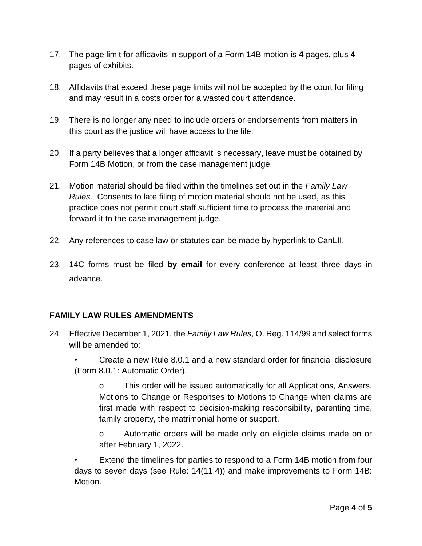- 17. The page limit for affidavits in support of a Form 14B motion is **4** pages, plus **4**  pages of exhibits.
- 18. Affidavits that exceed these page limits will not be accepted by the court for filing and may result in a costs order for a wasted court attendance.
- 19. There is no longer any need to include orders or endorsements from matters in this court as the justice will have access to the file.
- 20. If a party believes that a longer affidavit is necessary, leave must be obtained by Form 14B Motion, or from the case management judge.
- 21. Motion material should be filed within the timelines set out in the *Family Law Rules.* Consents to late filing of motion material should not be used, as this practice does not permit court staff sufficient time to process the material and forward it to the case management judge.
- 22. Any references to case law or statutes can be made by hyperlink to CanLII.
- 23. 14C forms must be filed **by email** for every conference at least three days in advance.

## **FAMILY LAW RULES AMENDMENTS**

- 24. Effective December 1, 2021, the *Family Law Rules*, O. Reg. 114/99 and select forms will be amended to:
	- Create a new Rule 8.0.1 and a new standard order for financial disclosure (Form 8.0.1: Automatic Order).

o This order will be issued automatically for all Applications, Answers, Motions to Change or Responses to Motions to Change when claims are first made with respect to decision-making responsibility, parenting time, family property, the matrimonial home or support.

o Automatic orders will be made only on eligible claims made on or after February 1, 2022.

Extend the timelines for parties to respond to a Form 14B motion from four days to seven days (see Rule: 14(11.4)) and make improvements to Form 14B: Motion.